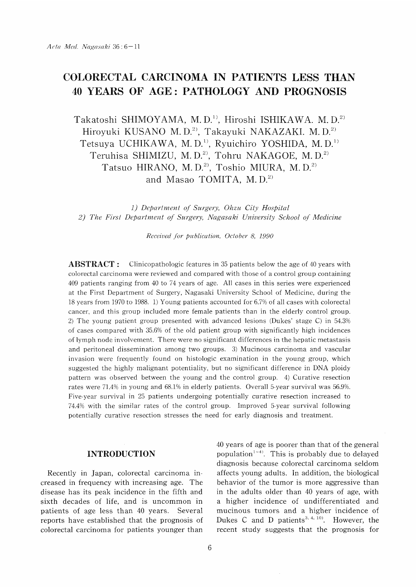# COLORECTAL CARCINOMA IN PATIENTS LESS THAN 40 YEARS OF AGE : PATHOLOGY AND PROGNOSIS

Takatoshi SHIMOYAMA, M.D.<sup>1)</sup>, Hiroshi ISHIKAWA. M.D.<sup>2)</sup> Hiroyuki KUSANO M.D.<sup>2)</sup>, Takayuki NAKAZAKI. M.D.<sup>2)</sup> Tetsuya UCHIKAWA, M.D.<sup>1)</sup>, Ryuichiro YOSHIDA, M.D.<sup>1)</sup> Teruhisa SHIMIZU, M.D.<sup>2)</sup>, Tohru NAKAGOE, M.D.<sup>2)</sup> Tatsuo HIRANO, M.D.<sup>2)</sup>, Toshio MIURA, M.D.<sup>2)</sup> and Masao TOMITA,  $M$ ,  $D$ ,  $2$ )

 1) Department of Surgery, Ohzu City Hospital 2) The First Department of Surgery, Nagasaki University School of Medicine

Received for publication, October 8, 1990

**ABSTRACT**: Clinicopathologic features in 35 patients below the age of 40 years with colorectal carcinoma were reviewed and compared with those of a control group containing 409 patients ranging from 40 to 74 years of age. All cases in this series were experienced at the First Department of Surgery, Nagasaki University School of Medicine, during the 18 years from 1970 to 1988. 1) Young patients accounted for 6.7% of all cases with colorectal cancer, and this group included more female patients than in the elderly control group. 2) The young patient group presented with advanced lesions (Dukes' stage C) in 54.3% of cases compared with 35.6% of the old patient group with significantly high incidences of lymph node involvement. There were no significant differences in the hepatic metastasis and peritoneal dissemination among two groups. 3) Mucinous carcinoma and vascular invasion were frequently found on histologic examination in the young group, which suggested the highly malignant potentiality, but no significant difference in DNA ploidy pattern was observed between the young and the control group. 4) Curative resection rates were 71.4% in young and 68.1% in elderly patients. Overall 5-year survival was 56.9%. Five-year survival in 25 patients undergoing potentially curative resection increased to 74.4% with the similar rates of the control group. Improved 5-year survival following potentially curative resection stresses the need for early diagnosis and treatment.

## INTRODUCTION

Recently in Japan, colorectal carcinoma increased in frequency with increasing age. The disease has its peak incidence in the fifth and sixth decades of life, and is uncommon in patients of age less than 40 years. Several reports have established that the prognosis of colorectal carcinoma for patients younger than

40 years of age is poorer than that of the general population<sup> $1-4$ </sup>. This is probably due to delayed diagnosis because colorectal carcinoma seldom affects young adults. In addition, the biological behavior of the tumor is more aggressive than in the adults older than 40 years of age, with a higher incidence of undifferentiated and mucinous tumors and a higher incidence of Dukes C and D patients<sup>3, 4, 10)</sup>. However, the recent study suggests that the prognosis for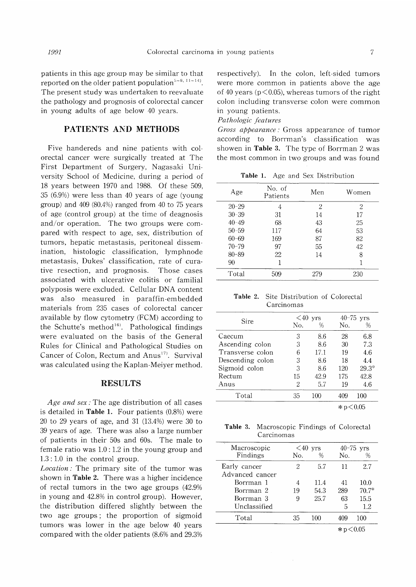patients in this age group may be similar to that reported on the older patient population<sup>5~9, 11~14)</sup>. The present study was undertaken to reevaluate the pathology and prognosis of colorectal cancer in young adults of age below 40 years.

# PATIENTS AND METHODS

Five handereds and nine patients with colorectal cancer were surgically treated at The First Department of Surgery, Nagasaki University School of Medicine, during a period of 18 years between 1970 and 1988. Of these 509, 35 (6.9%) were less than 40 years of age (young group) and 409 (80.4%) ranged from 40 to 75 years of age (control group) at the time of deagnosis and/or operation. The two groups were compared with respect to age, sex, distribution of tumors, hepatic metastasis, peritoneal dissemination, histologic classification, lymphnode metastasis, Dukes' classification, rate of curative resection, and prognosis. Those cases associated with ulcerative colitis or familial polyposis were excluded. Cellular DNA content was also measured in paraffin-embedded materials from 235 cases of colorectal cancer available by flow cytometry (FCM) according to the Schutte's method $16$ . Pathological findings were evaluated on the basis of the General Rules for Clinical and Pathological Studies on Cancer of Colon, Rectum and Anus"). Survival was calculated using the Kaplan-Meiyer method.

#### RESULTS

Age and sex: The age distribution of all cases is detailed in Table 1. Four patients  $(0.8\%)$  were 20 to 29 years of age, and 31 (13.4%) were 30 to 39 years of age. There was also a large number of patients in their 50s and 60s. The male to female ratio was  $1.0:1.2$  in the young group and 1.3: 1.0 in the control group.

Location : The primary site of the tumor was shown in Table 2. There was a higher incidence of rectal tumors in the two age groups (42.9% in young and 42.8% in control group). However, the distribution differed slightly between the two age groups ; the proportion of sigmoid tumors was lower in the age below 40 years compared with the older patients (8.6% and 29.3% respectively). In the colon, left-sided tumors were more common in patients above the age of 40 years ( $p < 0.05$ ), whereas tumors of the right colon including transverse colon were common in young patients.

Pathologic features

Gross appearance : Gross appearance of tumor according to Borrman's classification was showen in Table 3. The type of Borrman 2 was the most common in two groups and was found

Table 1. Age and Sex Distribution

| Age       | No. of<br>Patients | Men | Women |
|-----------|--------------------|-----|-------|
| $20 - 29$ |                    | 2   | 2     |
| $30 - 39$ | 31                 | 14  | 17    |
| $40 - 49$ | 68                 | 43  | 25    |
| $50 - 59$ | 117                | 64  | 53    |
| $60 - 69$ | 169                | 87  | 82    |
| $70 - 79$ | 97                 | 55  | 42    |
| $80 - 89$ | 22                 | 14  | 8     |
| 90        |                    |     |       |
| Total     | 509                | 279 | 230   |

 Table 2. Site Distribution of Colorectal Carcinomas

| Sire             | $\leq 40$ yrs |      | $40-75$ yrs  |         |
|------------------|---------------|------|--------------|---------|
|                  | No.           | ℅    | No.          | %       |
| Caecum           | 3             | 8.6  | 28           | 6.8     |
| Ascending colon  | 3             | 8.6  | 30           | 7.3     |
| Transverse colon | 6             | 17.1 | 19           | 4.6     |
| Descending colon | 3             | 8.6  | 18           | 4.4     |
| Sigmoid colon    | 3             | 8.6  | 120          | $29.3*$ |
| Rectum           | 15            | 42.9 | 175          | 42.8    |
| Anus             | 2             | 5.7  | 19           | 4.6     |
| Total            | 35            | 100  | 409          | 100     |
|                  |               |      | * p $<$ 0.05 |         |

Table 3. Macroscopic Findings of Colorectal Carcinomas

| Macroscopic     | $<40$ yrs |      | $40-75$ yrs |         |
|-----------------|-----------|------|-------------|---------|
| Findings        | No.       | %    | No.         | %       |
| Early cancer    | 2         | 5.7  | 11          | 2.7     |
| Advanced cancer |           |      |             |         |
| Borrman 1       |           | 11.4 | 41          | 10.0    |
| Borrman 2       | 19        | 54.3 | 289         | $70.7*$ |
| Borrman 3       | 9         | 25.7 | 63          | 15.5    |
| Unclassified    |           |      | 5           | 1.2     |
| Total           | 35        | 100  | 409         | 100     |
|                 |           |      |             | 0.05    |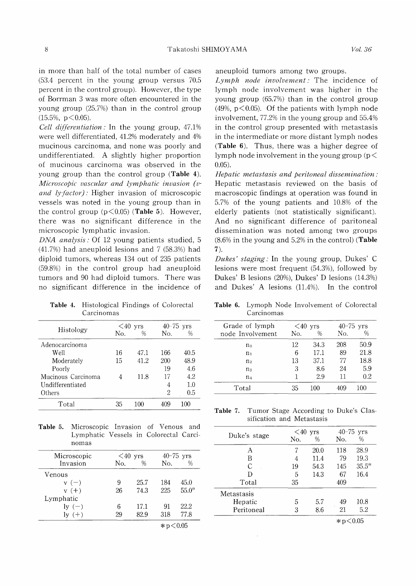in more than half of the total number of cases (53.4 percent in the young group versus 70.5 percent in the control group). However, the type of Borrman 3 was more often encountered in the young group (25.7%) than in the control group  $(15.5\%, p < 0.05)$ .

Cell differentiation : In the young group, 47.1% were well differentiated, 41.2% moderately and 4% mucinous carcinoma, and none was poorly and undifferentiated. A slightly higher proportion of mucinous carcinoma was observed in the young group than the control group (Table 4). Microscopic vascular and lymphatic invasion (vand ly-factor): Higher invasion of microscopic vessels was noted in the young group than in the control group  $(p<0.05)$  (Table 5). However, there was no significant difference in the microscopic lymphatic invasion.

DNA analysis: Of 12 young patients studied, 5 (41.7%) had aneuploid lesions and 7 (58.3%) had diploid tumors, whereas 134 out of 235 patients (59.8%) in the control group had aneuploid tumors and 90 had diploid tumors. There was no significant difference in the incidence of

 Table 4. Histological Findings of Colorectal Carcinomas

|                    | $<$ 40 yrs |      | $40-75$ vrs |      |
|--------------------|------------|------|-------------|------|
| Histology          | No.        | %    | No.         | %    |
| Adenocarcinoma     |            |      |             |      |
| Well               | 16         | 47.1 | 166         | 40.5 |
| Moderately         | 15         | 41.2 | 200         | 48.9 |
| Poorly             |            |      | 19          | 4.6  |
| Mucinous Carcinoma |            | 11.8 | 17          | 4.2  |
| Undifferentiated   |            |      | 4           | 1.0  |
| Others             |            |      | 2           | 0.5  |
| Total              | 35         | 100  | 409         | 100  |

Table 5. Microscopic Invasion of Venous and Lymphatic Vessels in Colorectal Carcinomas

| Microscopic         | $\leq 40$ yrs |      | $40-75$ yrs       |         |
|---------------------|---------------|------|-------------------|---------|
| Invasion            | No.           | %    | No.               | $\%$    |
| Venous              |               |      |                   |         |
| $v(-)$              | q             | 25.7 | 184               | 45.0    |
| $v(+)$              | 26            | 74.3 | 225               | $55.0*$ |
| Lymphatic           |               |      |                   |         |
| $\ln(-)$            | 6             | 17.1 | 91                | 22.2    |
| $\frac{1}{v}$ $(+)$ | 29            | 82.9 | 318               | 77.8    |
|                     |               |      | $*{\rm p} < 0.05$ |         |

aneuploid tumors among two groups.

Lymph node involvement: The incidence of lymph node involvement was higher in the young group (65.7%) than in the control group  $(49\%, p<0.05)$ . Of the patients with lymph node involvement, 77.2% in the young group and 55.4% in the control group presented with metastasis in the intermediate or more distant lymph nodes (Table 6). Thus, there was a higher degree of lymph node involvement in the young group ( $p <$ 0.05).

Hepatic metastasis and peritoneal dissemination : Hepatic metastasis reviewed on the basis of macroscopic findings at operation was found in 5.7% of the young patients and 10.8% of the elderly patients (not statistically significant). And no significant difference of paritoneal dissemination was noted among two groups  $(8.6\%$  in the young and 5.2% in the control) (**Table** 7).

Dukes' staging : In the young group, Dukes' C lesions were most frequent (54.3%), followed by Dukes' B lesions (20%), Dukes' D lesions (14.3%) and Dukes' A lesions (11.4%). In the control

Table 6. Lymoph Node Involvement of Colorectal Carcinomas

| Grade of lymph   |     | $\leq 40$ yrs |     | $40-75$ yrs |
|------------------|-----|---------------|-----|-------------|
| node Involvement | No. | %             | No. | %           |
| n <sub>0</sub>   | 12  | 34.3          | 208 | 50.9        |
| nт               | 6   | 17.1          | 89  | 21.8        |
| n <sub>2</sub>   | 13  | 37.1          | 77  | 18.8        |
| $\mathbf{n}_3$   | 3   | 8.6           | 24  | 5.9         |
| $n_4$            |     | 2.9           | 11  | 0.2         |
| Total            | 35  | 100           |     | 100         |
|                  |     |               |     |             |

Table 7. Tumor Stage According to Duke's Classification and Metastasis

| Duke's stage |     | $\leq 40$ yrs | $40-75$ yrs      |         |
|--------------|-----|---------------|------------------|---------|
|              | No. | $\%$          | No.              | %       |
| А            |     | 20.0          | 118              | 28.9    |
| В            | 4   | 11.4          | 79               | 19.3    |
| C            | 19  | 54.3          | 145              | $35.5*$ |
| D            | 5   | 14.3          | 67               | 16.4    |
| Total        | 35  |               | 409              |         |
| Metastasis   |     |               |                  |         |
| Hepatic      | 5   | 5.7           | 49               | 10.8    |
| Peritoneal   | 3   | 8.6           | 21               | 5.2     |
|              |     |               | * $\nu$ $<$ 0.05 |         |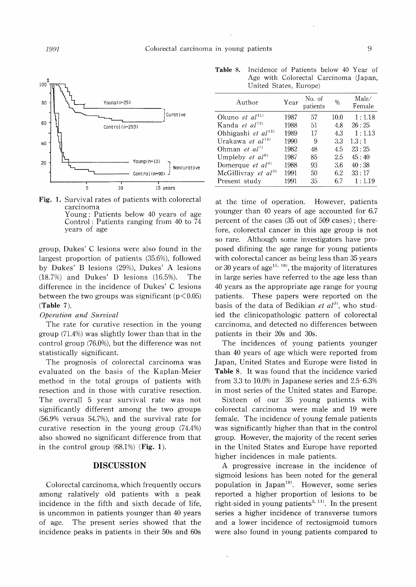



group, Dukes' C lesions were also found in the largest proportion of patients (35.6%), followed by Dukes' B lesions (29%), Dukes' A lesions (18.7%) and Dukes' D lesions (16.5%). The difference in the incidence of Dukes' C lesions between the two groups was significant  $(p<0.05)$ (Table 7).

#### Operation and Survival

The rate for curative resection in the young group (71.4%) was slightly lower than that in the control group (76.0%), but the difference was not statistically significant.

The prognosis of colorectal carcinoma was evaluated on the basis of the Kaplan-Meier method in the total groups of patients with resection and in those with curative resection. The overall 5 year survival rate was not significantly different among the two groups (56.9% versus 54.7%), and the survival rate for curative resection in the young group (74.4%) also showed no significant difference from that in the control group  $(68.1\%)$  (Fig. 1).

### DISCUSSION

Colorectal carcinoma, which frequently occurs among ralatively old patients with a peak incidence in the fifth and sixth decade of life, is uncommon in patients younger than 40 years of age. The present series showed that the incidence peaks in patients in their 50s and 60s

| <b>Table 8.</b> Incidence of Patients below 40 Year of |
|--------------------------------------------------------|
| Age with Colorectal Carcinoma (Japan.                  |
| United States, Europe)                                 |

| Author                  | Year | No. of<br>patients | %    | Male/<br>Female |
|-------------------------|------|--------------------|------|-----------------|
| Okuno et $al^{(1)}$     | 1987 | 57                 | 10.0 | 1:1.18          |
| Kanda et $al^{12}$      | 1988 | 51                 | 4.8  | 26:25           |
| Ohhigashi et $al^{13}$  | 1989 | 17                 | 4.3  | 1:1.13          |
| Urakawa et $al^{14}$    | 1990 | 9                  | 3.3  | 1.3:1           |
| Ohman et $al^{(1)}$     | 1982 | 48                 | 4.5  | 23:25           |
| Umpleby et $al^{6}$     | 1987 | 85                 | 2.5  | 45:40           |
| Domerque et $al^{4)}$   | 1988 | 93                 | 3.6  | 40:38           |
| McGillivray et $al^{9}$ | 1991 | 50                 | 6.2  | 33:17           |
| Present study           | 1991 | 35                 | 6.7  | $1 \cdot 119$   |

at the time of operation. However, patients younger than 40 years of age accounted for 6.7 percent of the cases (35 out of 509 cases) ; therefore, colorectal cancer in this age group is not so rare. Although some investigators have proposed difining the age range for young patients with colorectal cancer as being less than 35 years or 30 years of age<sup>15, 18</sup>, the majority of literatures in large series have referred to the age less than 40 years as the appropriate age range for young patients. These papers were reported on the basis of the data of Bedikian et  $al^{3}$ , who studied the clinicopathologic pattern of colorectal carcinoma, and detected no differences between patients in their 20s and 30s.

The incidences of young patients younger than 40 years of age which were reported from Japan, United States and Europe were listed in Table 8. It was found that the incidence varied from 3.3 to 10.0% in Japanese series and 2.5-6.3% in most series of the United states and Europe.

Sixteen of our 35 young patients with colorectal carcinoma were male and 19 were female. The incidence of young female patients was significantly higher than that in the control group. However, the majority of the recent series in the United States and Europe have reported higher incidences in male patients.

A progressive increase in the incidence of sigmoid lesions has been noted for the general population in Japan<sup>19)</sup>. However, some series reported a higher proportion of lesions to be right-sided in young patients<sup>3, 11)</sup>. In the present series a higher incidence of transverse tumors and a lower incidence of rectosigmoid tumors were also found in young patients compared to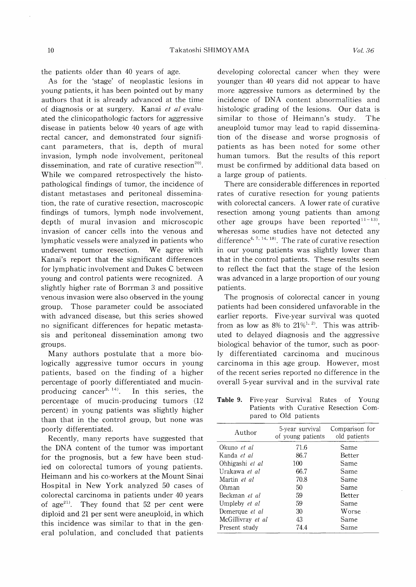the patients older than 40 years of age.

As for the `stage' of neoplastic lesions in young patients, it has been pointed out by many authors that it is already advanced at the time of diagnosis or at surgery. Kanai et al evaluated the clinicopathologic factors for aggressive disease in patients below 40 years of age with rectal cancer, and demonstrated four significant parameters, that is, depth of mural invasion, lymph node involvement, peritoneal dissemination, and rate of curative resection $20$ . While we compared retrospectively the histopathological findings of tumor, the incidence of distant metastases and peritoneal dissemination, the rate of curative resection, macroscopic findings of tumors, lymph node involvement, depth of mural invasion and microscopic invasion of cancer cells into the venous and lymphatic vessels were analyzed in patients who underwent tumor resection. We agree with Kanai's report that the significant differences for lymphatic involvement and Dukes C between young and control patients were recognized. A slightly higher rate of Borrman 3 and possitive venous invasion were also observed in the young group. Those parameter could be associated with advanced disease, but this series showed no significant differences for hepatic metastasis and peritoneal dissemination among two groups.

Many authors postulate that a more biologically aggressive tumor occurs in young patients, based on the finding of a higher percentage of poorly differentiated and mucinproducing cancer<sup>3, 14)</sup>. In this series, the percentage of mucin-producing tumors (12 percent) in young patients was slightly higher than that in the control group, but none was poorly differentiated.

Recently, many reports have suggested that the DNA content of the tumor was important for the prognosis, but a few have been studied on colorectal tumors of young patients. Heimann and his co-workers at the Mount Sinai Hospital in New York analyzed 50 cases of colorectal carcinoma in patients under 40 years of age<sup>21)</sup>. They found that 52 per cent were diploid and 21 per sent were aneuploid, in which this incidence was similar to that in the general polulation, and concluded that patients

developing colorectal cancer when they were younger than 40 years did not appear to have more aggressive tumors as determined by the incidence of DNA content abnormalities and histologic grading of the lesions. Our data is similar to those of Heimann's study. The aneuploid tumor may lead to rapid dissemination of the disease and worse prognosis of patients as has been noted for some other human tumors. But the results of this report must be confirmed by additional data based on a large group of patients.

There are considerable differences in reported rates of curative resection for young patients with colorectal cancers. A lower rate of curative resection among young patients than among other age groups have been reported<sup>11~13</sup>, wheresas some studies have not detected any difference<sup>4,  $7, 14, 18$ </sup>. The rate of curative resection in our young patients was slightly lower than that in the control patients. These results seem to reflect the fact that the stage of the lesion was advanced in a large proportion of our young patients.

The prognosis of colorectal cancer in young patients had been considered unfavorable in the earlier reports. Five-year survival was quoted from as low as  $8\%$  to  $21\%^{1,2}$ . This was attributed to delayed diagnosis and the aggressive biological behavior of the tumor, such as poorly differentiated carcinoma and mucinous carcinoma in this age group. However, most of the recent series reported no difference in the overall 5-year survival and in the survival rate

Table 9. Five-year Survival Rates of Young Patients with Curative Resection Compared to Old patients

| Author               | 5-vear survival<br>of young patients | Comparison for<br>old patients |
|----------------------|--------------------------------------|--------------------------------|
| Okuno et al          | 71.6                                 | Same                           |
| Kanda et al          | 86.7                                 | Better                         |
| Ohhigashi et al      | 100                                  | Same                           |
| Urakawa <i>et al</i> | 66.7                                 | Same                           |
| Martin et al         | 70.8                                 | Same                           |
| Ohman                | 50                                   | Same                           |
| Beckman et al        | 59                                   | Better                         |
| Umpleby et al        | 59                                   | Same                           |
| Domerque et al       | 30                                   | Worse                          |
| McGillivray et al    | 43                                   | Same                           |
| Present study        | 74.4                                 | Same                           |